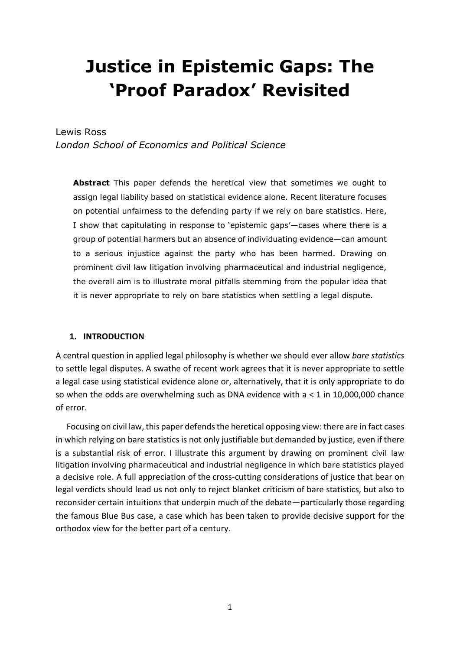# **Justice in Epistemic Gaps: The 'Proof Paradox' Revisited**

## Lewis Ross

*London School of Economics and Political Science* 

**Abstract** This paper defends the heretical view that sometimes we ought to assign legal liability based on statistical evidence alone. Recent literature focuses on potential unfairness to the defending party if we rely on bare statistics. Here, I show that capitulating in response to 'epistemic gaps'—cases where there is a group of potential harmers but an absence of individuating evidence—can amount to a serious injustice against the party who has been harmed. Drawing on prominent civil law litigation involving pharmaceutical and industrial negligence, the overall aim is to illustrate moral pitfalls stemming from the popular idea that it is never appropriate to rely on bare statistics when settling a legal dispute.

#### **1. INTRODUCTION**

A central question in applied legal philosophy is whether we should ever allow *bare statistics* to settle legal disputes. A swathe of recent work agrees that it is never appropriate to settle a legal case using statistical evidence alone or, alternatively, that it is only appropriate to do so when the odds are overwhelming such as DNA evidence with  $a < 1$  in 10,000,000 chance of error.

Focusing on civil law, this paper defends the heretical opposing view: there are in fact cases in which relying on bare statistics is not only justifiable but demanded by justice, even if there is a substantial risk of error. I illustrate this argument by drawing on prominent civil law litigation involving pharmaceutical and industrial negligence in which bare statistics played a decisive role. A full appreciation of the cross-cutting considerations of justice that bear on legal verdicts should lead us not only to reject blanket criticism of bare statistics, but also to reconsider certain intuitions that underpin much of the debate—particularly those regarding the famous Blue Bus case, a case which has been taken to provide decisive support for the orthodox view for the better part of a century.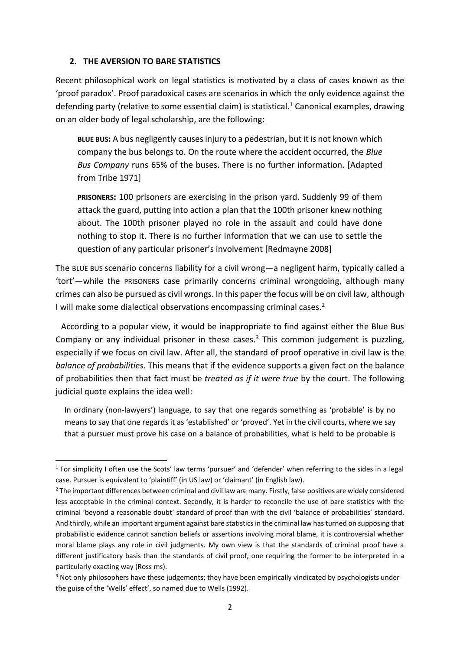## **2. THE AVERSION TO BARE STATISTICS**

Recent philosophical work on legal statistics is motivated by a class of cases known as the 'proof paradox'. Proof paradoxical cases are scenarios in which the only evidence against the defending party (relative to some essential claim) is statistical. <sup>1</sup> Canonical examples, drawing on an older body of legal scholarship, are the following:

**BLUE BUS:** A bus negligently causes injury to a pedestrian, but it is not known which company the bus belongs to. On the route where the accident occurred, the *Blue Bus Company* runs 65% of the buses. There is no further information. [Adapted from Tribe 1971]

**PRISONERS:** 100 prisoners are exercising in the prison yard. Suddenly 99 of them attack the guard, putting into action a plan that the 100th prisoner knew nothing about. The 100th prisoner played no role in the assault and could have done nothing to stop it. There is no further information that we can use to settle the question of any particular prisoner's involvement [Redmayne 2008]

The BLUE BUS scenario concerns liability for a civil wrong—a negligent harm, typically called a 'tort'—while the PRISONERS case primarily concerns criminal wrongdoing, although many crimes can also be pursued as civil wrongs. In this paper the focus will be on civil law, although I will make some dialectical observations encompassing criminal cases.<sup>2</sup>

According to a popular view, it would be inappropriate to find against either the Blue Bus Company or any individual prisoner in these cases.<sup>3</sup> This common judgement is puzzling, especially if we focus on civil law. After all, the standard of proof operative in civil law is the *balance of probabilities*. This means that if the evidence supports a given fact on the balance of probabilities then that fact must be *treated as if it were true* by the court. The following judicial quote explains the idea well:

In ordinary (non-lawyers') language, to say that one regards something as 'probable' is by no means to say that one regards it as 'established' or 'proved'. Yet in the civil courts, where we say that a pursuer must prove his case on a balance of probabilities, what is held to be probable is

<sup>1</sup> For simplicity I often use the Scots' law terms 'pursuer' and 'defender' when referring to the sides in a legal case. Pursuer is equivalent to 'plaintiff' (in US law) or 'claimant' (in English law).

<sup>&</sup>lt;sup>2</sup> The important differences between criminal and civil law are many. Firstly, false positives are widely considered less acceptable in the criminal context. Secondly, it is harder to reconcile the use of bare statistics with the criminal 'beyond a reasonable doubt' standard of proof than with the civil 'balance of probabilities' standard. And thirdly, while an important argument against bare statistics in the criminal law has turned on supposing that probabilistic evidence cannot sanction beliefs or assertions involving moral blame, it is controversial whether moral blame plays any role in civil judgments. My own view is that the standards of criminal proof have a different justificatory basis than the standards of civil proof, one requiring the former to be interpreted in a particularly exacting way (Ross ms).

<sup>&</sup>lt;sup>3</sup> Not only philosophers have these judgements; they have been empirically vindicated by psychologists under the guise of the 'Wells' effect', so named due to Wells (1992).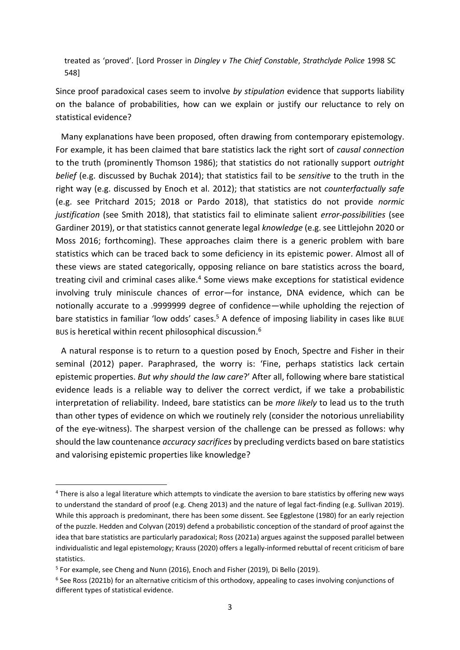treated as 'proved'. [Lord Prosser in *Dingley v The Chief Constable*, *Strathclyde Police* 1998 SC 548]

Since proof paradoxical cases seem to involve *by stipulation* evidence that supports liability on the balance of probabilities, how can we explain or justify our reluctance to rely on statistical evidence?

Many explanations have been proposed, often drawing from contemporary epistemology. For example, it has been claimed that bare statistics lack the right sort of *causal connection* to the truth (prominently Thomson 1986); that statistics do not rationally support *outright belief* (e.g. discussed by Buchak 2014); that statistics fail to be *sensitive* to the truth in the right way (e.g. discussed by Enoch et al. 2012); that statistics are not *counterfactually safe* (e.g. see Pritchard 2015; 2018 or Pardo 2018), that statistics do not provide *normic justification* (see Smith 2018), that statistics fail to eliminate salient *error-possibilities* (see Gardiner 2019), or that statistics cannot generate legal *knowledge* (e.g. see Littlejohn 2020 or Moss 2016; forthcoming). These approaches claim there is a generic problem with bare statistics which can be traced back to some deficiency in its epistemic power. Almost all of these views are stated categorically, opposing reliance on bare statistics across the board, treating civil and criminal cases alike.<sup>4</sup> Some views make exceptions for statistical evidence involving truly miniscule chances of error—for instance, DNA evidence, which can be notionally accurate to a .9999999 degree of confidence—while upholding the rejection of bare statistics in familiar 'low odds' cases.<sup>5</sup> A defence of imposing liability in cases like BLUE BUS is heretical within recent philosophical discussion.<sup>6</sup>

A natural response is to return to a question posed by Enoch, Spectre and Fisher in their seminal (2012) paper. Paraphrased, the worry is: 'Fine, perhaps statistics lack certain epistemic properties. *But why should the law care*?' After all, following where bare statistical evidence leads is a reliable way to deliver the correct verdict, if we take a probabilistic interpretation of reliability. Indeed, bare statistics can be *more likely* to lead us to the truth than other types of evidence on which we routinely rely (consider the notorious unreliability of the eye-witness). The sharpest version of the challenge can be pressed as follows: why should the law countenance *accuracy sacrifices* by precluding verdicts based on bare statistics and valorising epistemic properties like knowledge?

<sup>4</sup> There is also a legal literature which attempts to vindicate the aversion to bare statistics by offering new ways to understand the standard of proof (e.g. Cheng 2013) and the nature of legal fact-finding (e.g. Sullivan 2019). While this approach is predominant, there has been some dissent. See Egglestone (1980) for an early rejection of the puzzle. Hedden and Colyvan (2019) defend a probabilistic conception of the standard of proof against the idea that bare statistics are particularly paradoxical; Ross (2021a) argues against the supposed parallel between individualistic and legal epistemology; Krauss (2020) offers a legally-informed rebuttal of recent criticism of bare statistics.

<sup>&</sup>lt;sup>5</sup> For example, see Cheng and Nunn (2016), Enoch and Fisher (2019), Di Bello (2019).

<sup>6</sup> See Ross (2021b) for an alternative criticism of this orthodoxy, appealing to cases involving conjunctions of different types of statistical evidence.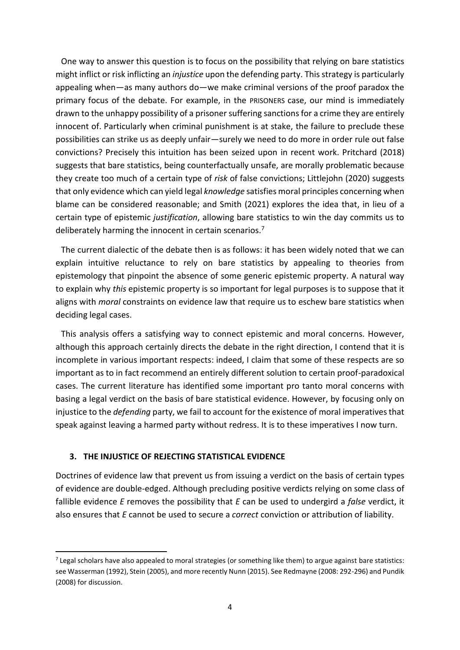One way to answer this question is to focus on the possibility that relying on bare statistics might inflict or risk inflicting an *injustice* upon the defending party. This strategy is particularly appealing when—as many authors do—we make criminal versions of the proof paradox the primary focus of the debate. For example, in the PRISONERS case, our mind is immediately drawn to the unhappy possibility of a prisoner suffering sanctions for a crime they are entirely innocent of. Particularly when criminal punishment is at stake, the failure to preclude these possibilities can strike us as deeply unfair—surely we need to do more in order rule out false convictions? Precisely this intuition has been seized upon in recent work. Pritchard (2018) suggests that bare statistics, being counterfactually unsafe, are morally problematic because they create too much of a certain type of *risk* of false convictions; Littlejohn (2020) suggests that only evidence which can yield legal *knowledge* satisfies moral principles concerning when blame can be considered reasonable; and Smith (2021) explores the idea that, in lieu of a certain type of epistemic *justification*, allowing bare statistics to win the day commits us to deliberately harming the innocent in certain scenarios.<sup>7</sup>

The current dialectic of the debate then is as follows: it has been widely noted that we can explain intuitive reluctance to rely on bare statistics by appealing to theories from epistemology that pinpoint the absence of some generic epistemic property. A natural way to explain why *this* epistemic property is so important for legal purposes is to suppose that it aligns with *moral* constraints on evidence law that require us to eschew bare statistics when deciding legal cases.

This analysis offers a satisfying way to connect epistemic and moral concerns. However, although this approach certainly directs the debate in the right direction, I contend that it is incomplete in various important respects: indeed, I claim that some of these respects are so important as to in fact recommend an entirely different solution to certain proof-paradoxical cases. The current literature has identified some important pro tanto moral concerns with basing a legal verdict on the basis of bare statistical evidence. However, by focusing only on injustice to the *defending* party, we fail to account for the existence of moral imperatives that speak against leaving a harmed party without redress. It is to these imperatives I now turn.

## **3. THE INJUSTICE OF REJECTING STATISTICAL EVIDENCE**

Doctrines of evidence law that prevent us from issuing a verdict on the basis of certain types of evidence are double-edged. Although precluding positive verdicts relying on some class of fallible evidence *E* removes the possibility that *E* can be used to undergird a *false* verdict, it also ensures that *E* cannot be used to secure a *correct* conviction or attribution of liability.

 $<sup>7</sup>$  Legal scholars have also appealed to moral strategies (or something like them) to argue against bare statistics:</sup> see Wasserman (1992), Stein (2005), and more recently Nunn (2015). See Redmayne (2008: 292-296) and Pundik (2008) for discussion.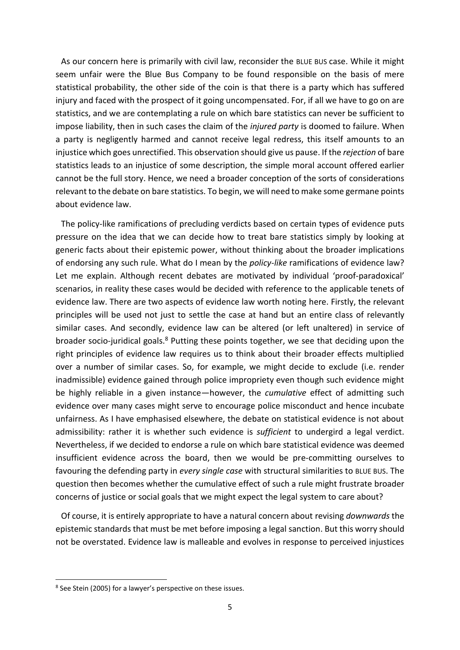As our concern here is primarily with civil law, reconsider the BLUE BUS case. While it might seem unfair were the Blue Bus Company to be found responsible on the basis of mere statistical probability, the other side of the coin is that there is a party which has suffered injury and faced with the prospect of it going uncompensated. For, if all we have to go on are statistics, and we are contemplating a rule on which bare statistics can never be sufficient to impose liability, then in such cases the claim of the *injured party* is doomed to failure. When a party is negligently harmed and cannot receive legal redress, this itself amounts to an injustice which goes unrectified. This observation should give us pause. If the *rejection* of bare statistics leads to an injustice of some description, the simple moral account offered earlier cannot be the full story. Hence, we need a broader conception of the sorts of considerations relevant to the debate on bare statistics. To begin, we will need to make some germane points about evidence law.

The policy-like ramifications of precluding verdicts based on certain types of evidence puts pressure on the idea that we can decide how to treat bare statistics simply by looking at generic facts about their epistemic power, without thinking about the broader implications of endorsing any such rule. What do I mean by the *policy-like* ramifications of evidence law? Let me explain. Although recent debates are motivated by individual 'proof-paradoxical' scenarios, in reality these cases would be decided with reference to the applicable tenets of evidence law. There are two aspects of evidence law worth noting here. Firstly, the relevant principles will be used not just to settle the case at hand but an entire class of relevantly similar cases. And secondly, evidence law can be altered (or left unaltered) in service of broader socio-juridical goals.<sup>8</sup> Putting these points together, we see that deciding upon the right principles of evidence law requires us to think about their broader effects multiplied over a number of similar cases. So, for example, we might decide to exclude (i.e. render inadmissible) evidence gained through police impropriety even though such evidence might be highly reliable in a given instance—however, the *cumulative* effect of admitting such evidence over many cases might serve to encourage police misconduct and hence incubate unfairness. As I have emphasised elsewhere, the debate on statistical evidence is not about admissibility: rather it is whether such evidence is *sufficient* to undergird a legal verdict. Nevertheless, if we decided to endorse a rule on which bare statistical evidence was deemed insufficient evidence across the board, then we would be pre-committing ourselves to favouring the defending party in *every single case* with structural similarities to BLUE BUS. The question then becomes whether the cumulative effect of such a rule might frustrate broader concerns of justice or social goals that we might expect the legal system to care about?

Of course, it is entirely appropriate to have a natural concern about revising *downwards* the epistemic standards that must be met before imposing a legal sanction. But this worry should not be overstated. Evidence law is malleable and evolves in response to perceived injustices

<sup>&</sup>lt;sup>8</sup> See Stein (2005) for a lawyer's perspective on these issues.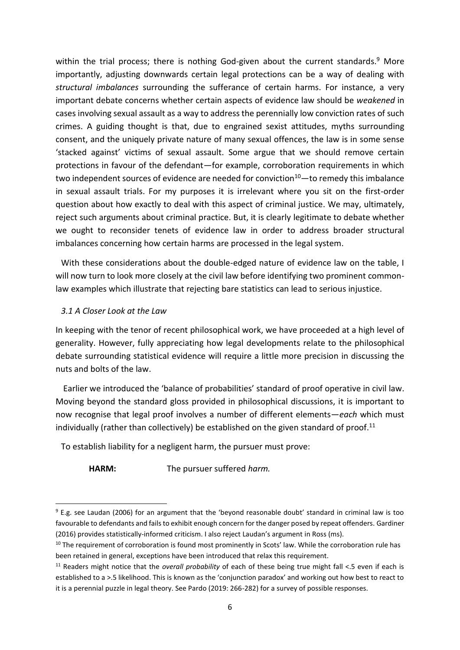within the trial process; there is nothing God-given about the current standards.<sup>9</sup> More importantly, adjusting downwards certain legal protections can be a way of dealing with *structural imbalances* surrounding the sufferance of certain harms. For instance, a very important debate concerns whether certain aspects of evidence law should be *weakened* in cases involving sexual assault as a way to address the perennially low conviction rates of such crimes. A guiding thought is that, due to engrained sexist attitudes, myths surrounding consent, and the uniquely private nature of many sexual offences, the law is in some sense 'stacked against' victims of sexual assault. Some argue that we should remove certain protections in favour of the defendant—for example, corroboration requirements in which two independent sources of evidence are needed for conviction $10$ —to remedy this imbalance in sexual assault trials. For my purposes it is irrelevant where you sit on the first-order question about how exactly to deal with this aspect of criminal justice. We may, ultimately, reject such arguments about criminal practice. But, it is clearly legitimate to debate whether we ought to reconsider tenets of evidence law in order to address broader structural imbalances concerning how certain harms are processed in the legal system.

With these considerations about the double-edged nature of evidence law on the table, I will now turn to look more closely at the civil law before identifying two prominent commonlaw examples which illustrate that rejecting bare statistics can lead to serious injustice.

## *3.1 A Closer Look at the Law*

In keeping with the tenor of recent philosophical work, we have proceeded at a high level of generality. However, fully appreciating how legal developments relate to the philosophical debate surrounding statistical evidence will require a little more precision in discussing the nuts and bolts of the law.

Earlier we introduced the 'balance of probabilities' standard of proof operative in civil law. Moving beyond the standard gloss provided in philosophical discussions, it is important to now recognise that legal proof involves a number of different elements—*each* which must individually (rather than collectively) be established on the given standard of proof.<sup>11</sup>

To establish liability for a negligent harm, the pursuer must prove:

**HARM:** The pursuer suffered *harm.* 

<sup>9</sup> E.g. see Laudan (2006) for an argument that the 'beyond reasonable doubt' standard in criminal law is too favourable to defendants and fails to exhibit enough concern for the danger posed by repeat offenders. Gardiner (2016) provides statistically-informed criticism. I also reject Laudan's argument in Ross (ms).

<sup>&</sup>lt;sup>10</sup> The requirement of corroboration is found most prominently in Scots' law. While the corroboration rule has been retained in general, exceptions have been introduced that relax this requirement.

<sup>11</sup> Readers might notice that the *overall probability* of each of these being true might fall <.5 even if each is established to a >.5 likelihood. This is known as the 'conjunction paradox' and working out how best to react to it is a perennial puzzle in legal theory. See Pardo (2019: 266-282) for a survey of possible responses.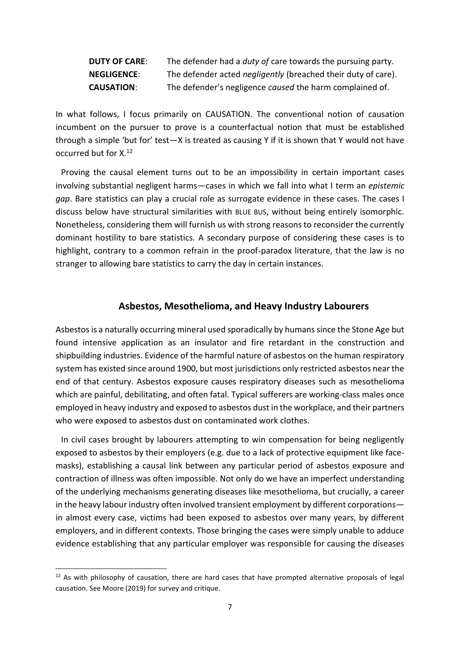| <b>DUTY OF CARE:</b> | The defender had a <i>duty of</i> care towards the pursuing party.   |
|----------------------|----------------------------------------------------------------------|
| <b>NEGLIGENCE:</b>   | The defender acted <i>negligently</i> (breached their duty of care). |
| <b>CAUSATION:</b>    | The defender's negligence caused the harm complained of.             |

In what follows, I focus primarily on CAUSATION. The conventional notion of causation incumbent on the pursuer to prove is a counterfactual notion that must be established through a simple 'but for' test—X is treated as causing Y if it is shown that Y would not have occurred but for X.<sup>12</sup>

Proving the causal element turns out to be an impossibility in certain important cases involving substantial negligent harms—cases in which we fall into what I term an *epistemic gap*. Bare statistics can play a crucial role as surrogate evidence in these cases. The cases I discuss below have structural similarities with BLUE BUS, without being entirely isomorphic. Nonetheless, considering them will furnish us with strong reasons to reconsider the currently dominant hostility to bare statistics. A secondary purpose of considering these cases is to highlight, contrary to a common refrain in the proof-paradox literature, that the law is no stranger to allowing bare statistics to carry the day in certain instances.

## **Asbestos, Mesothelioma, and Heavy Industry Labourers**

Asbestos is a naturally occurring mineral used sporadically by humans since the Stone Age but found intensive application as an insulator and fire retardant in the construction and shipbuilding industries. Evidence of the harmful nature of asbestos on the human respiratory system has existed since around 1900, but most jurisdictions only restricted asbestos near the end of that century. Asbestos exposure causes respiratory diseases such as mesothelioma which are painful, debilitating, and often fatal. Typical sufferers are working-class males once employed in heavy industry and exposed to asbestos dust in the workplace, and their partners who were exposed to asbestos dust on contaminated work clothes.

In civil cases brought by labourers attempting to win compensation for being negligently exposed to asbestos by their employers (e.g. due to a lack of protective equipment like facemasks), establishing a causal link between any particular period of asbestos exposure and contraction of illness was often impossible. Not only do we have an imperfect understanding of the underlying mechanisms generating diseases like mesothelioma, but crucially, a career in the heavy labour industry often involved transient employment by different corporations in almost every case, victims had been exposed to asbestos over many years, by different employers, and in different contexts. Those bringing the cases were simply unable to adduce evidence establishing that any particular employer was responsible for causing the diseases

 $12$  As with philosophy of causation, there are hard cases that have prompted alternative proposals of legal causation. See Moore (2019) for survey and critique.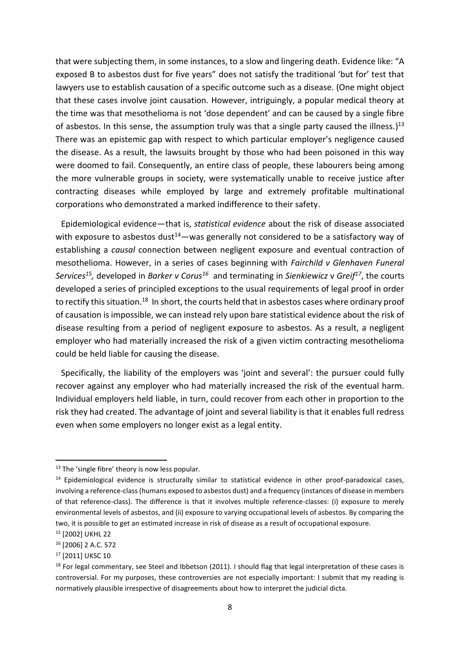that were subjecting them, in some instances, to a slow and lingering death. Evidence like: "A exposed B to asbestos dust for five years" does not satisfy the traditional 'but for' test that lawyers use to establish causation of a specific outcome such as a disease. (One might object that these cases involve joint causation. However, intriguingly, a popular medical theory at the time was that mesothelioma is not 'dose dependent' and can be caused by a single fibre of asbestos. In this sense, the assumption truly was that a single party caused the illness.)<sup>13</sup> There was an epistemic gap with respect to which particular employer's negligence caused the disease. As a result, the lawsuits brought by those who had been poisoned in this way were doomed to fail. Consequently, an entire class of people, these labourers being among the more vulnerable groups in society, were systematically unable to receive justice after contracting diseases while employed by large and extremely profitable multinational corporations who demonstrated a marked indifference to their safety.

Epidemiological evidence—that is, *statistical evidence* about the risk of disease associated with exposure to asbestos dust<sup>14</sup>—was generally not considered to be a satisfactory way of establishing a *causal* connection between negligent exposure and eventual contraction of mesothelioma. However, in a series of cases beginning with *Fairchild v Glenhaven Funeral Services 15 ,* developed in *Barker v Corus<sup>16</sup>* and terminating in *Sienkiewicz* v *Greif<sup>17</sup>* , the courts developed a series of principled exceptions to the usual requirements of legal proof in order to rectify this situation.<sup>18</sup> In short, the courts held that in asbestos cases where ordinary proof of causation is impossible, we can instead rely upon bare statistical evidence about the risk of disease resulting from a period of negligent exposure to asbestos. As a result, a negligent employer who had materially increased the risk of a given victim contracting mesothelioma could be held liable for causing the disease.

Specifically, the liability of the employers was 'joint and several': the pursuer could fully recover against any employer who had materially increased the risk of the eventual harm. Individual employers held liable, in turn, could recover from each other in proportion to the risk they had created. The advantage of joint and several liability is that it enables full redress even when some employers no longer exist as a legal entity.

<sup>&</sup>lt;sup>13</sup> The 'single fibre' theory is now less popular.

<sup>14</sup> Epidemiological evidence is structurally similar to statistical evidence in other proof-paradoxical cases, involving a reference-class (humans exposed to asbestos dust) and a frequency (instances of disease in members of that reference-class). The difference is that it involves multiple reference-classes: (i) exposure to merely environmental levels of asbestos, and (ii) exposure to varying occupational levels of asbestos. By comparing the two, it is possible to get an estimated increase in risk of disease as a result of occupational exposure.

<sup>15</sup> [2002] UKHL 22

<sup>16</sup> [2006] 2 A.C. 572

<sup>&</sup>lt;sup>17</sup> [2011] UKSC 10

<sup>&</sup>lt;sup>18</sup> For legal commentary, see Steel and Ibbetson (2011). I should flag that legal interpretation of these cases is controversial. For my purposes, these controversies are not especially important: I submit that my reading is normatively plausible irrespective of disagreements about how to interpret the judicial dicta.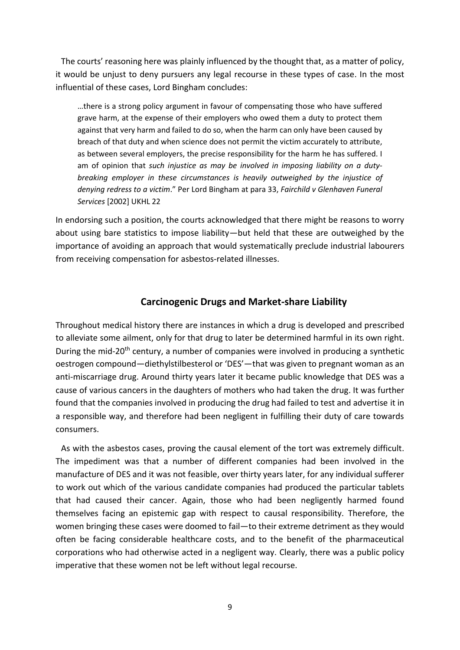The courts' reasoning here was plainly influenced by the thought that, as a matter of policy, it would be unjust to deny pursuers any legal recourse in these types of case. In the most influential of these cases, Lord Bingham concludes:

…there is a strong policy argument in favour of compensating those who have suffered grave harm, at the expense of their employers who owed them a duty to protect them against that very harm and failed to do so, when the harm can only have been caused by breach of that duty and when science does not permit the victim accurately to attribute, as between several employers, the precise responsibility for the harm he has suffered. I am of opinion that *such injustice as may be involved in imposing liability on a dutybreaking employer in these circumstances is heavily outweighed by the injustice of denying redress to a victim*." Per Lord Bingham at para 33, *Fairchild v Glenhaven Funeral Services* [2002] UKHL 22

In endorsing such a position, the courts acknowledged that there might be reasons to worry about using bare statistics to impose liability—but held that these are outweighed by the importance of avoiding an approach that would systematically preclude industrial labourers from receiving compensation for asbestos-related illnesses.

# **Carcinogenic Drugs and Market-share Liability**

Throughout medical history there are instances in which a drug is developed and prescribed to alleviate some ailment, only for that drug to later be determined harmful in its own right. During the mid-20<sup>th</sup> century, a number of companies were involved in producing a synthetic oestrogen compound—diethylstilbesterol or 'DES'—that was given to pregnant woman as an anti-miscarriage drug. Around thirty years later it became public knowledge that DES was a cause of various cancers in the daughters of mothers who had taken the drug. It was further found that the companies involved in producing the drug had failed to test and advertise it in a responsible way, and therefore had been negligent in fulfilling their duty of care towards consumers.

As with the asbestos cases, proving the causal element of the tort was extremely difficult. The impediment was that a number of different companies had been involved in the manufacture of DES and it was not feasible, over thirty years later, for any individual sufferer to work out which of the various candidate companies had produced the particular tablets that had caused their cancer. Again, those who had been negligently harmed found themselves facing an epistemic gap with respect to causal responsibility. Therefore, the women bringing these cases were doomed to fail—to their extreme detriment as they would often be facing considerable healthcare costs, and to the benefit of the pharmaceutical corporations who had otherwise acted in a negligent way. Clearly, there was a public policy imperative that these women not be left without legal recourse.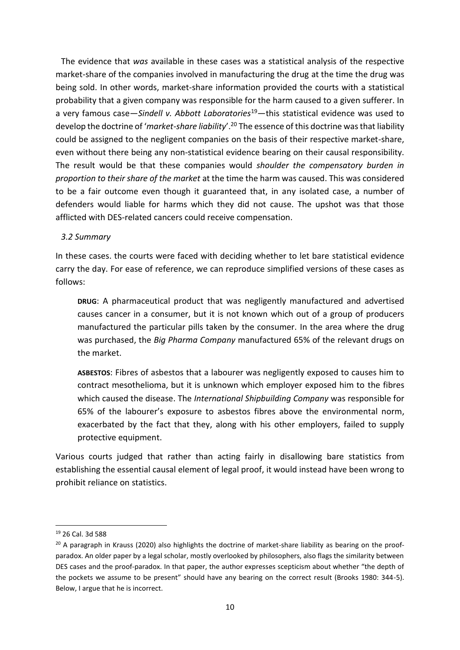The evidence that *was* available in these cases was a statistical analysis of the respective market-share of the companies involved in manufacturing the drug at the time the drug was being sold. In other words, market-share information provided the courts with a statistical probability that a given company was responsible for the harm caused to a given sufferer. In a very famous case—*Sindell v. Abbott Laboratories*<sup>19</sup>—this statistical evidence was used to develop the doctrine of '*market-share liability*'. <sup>20</sup> The essence of this doctrine was that liability could be assigned to the negligent companies on the basis of their respective market-share, even without there being any non-statistical evidence bearing on their causal responsibility. The result would be that these companies would *shoulder the compensatory burden in proportion to their share of the market* at the time the harm was caused. This was considered to be a fair outcome even though it guaranteed that, in any isolated case, a number of defenders would liable for harms which they did not cause. The upshot was that those afflicted with DES-related cancers could receive compensation.

## *3.2 Summary*

In these cases. the courts were faced with deciding whether to let bare statistical evidence carry the day. For ease of reference, we can reproduce simplified versions of these cases as follows:

**DRUG**: A pharmaceutical product that was negligently manufactured and advertised causes cancer in a consumer, but it is not known which out of a group of producers manufactured the particular pills taken by the consumer. In the area where the drug was purchased, the *Big Pharma Company* manufactured 65% of the relevant drugs on the market.

**ASBESTOS**: Fibres of asbestos that a labourer was negligently exposed to causes him to contract mesothelioma, but it is unknown which employer exposed him to the fibres which caused the disease. The *International Shipbuilding Company* was responsible for 65% of the labourer's exposure to asbestos fibres above the environmental norm, exacerbated by the fact that they, along with his other employers, failed to supply protective equipment.

Various courts judged that rather than acting fairly in disallowing bare statistics from establishing the essential causal element of legal proof, it would instead have been wrong to prohibit reliance on statistics.

<sup>19</sup> 26 Cal. 3d 588

<sup>&</sup>lt;sup>20</sup> A paragraph in Krauss (2020) also highlights the doctrine of market-share liability as bearing on the proofparadox. An older paper by a legal scholar, mostly overlooked by philosophers, also flags the similarity between DES cases and the proof-paradox. In that paper, the author expresses scepticism about whether "the depth of the pockets we assume to be present" should have any bearing on the correct result (Brooks 1980: 344-5). Below, I argue that he is incorrect.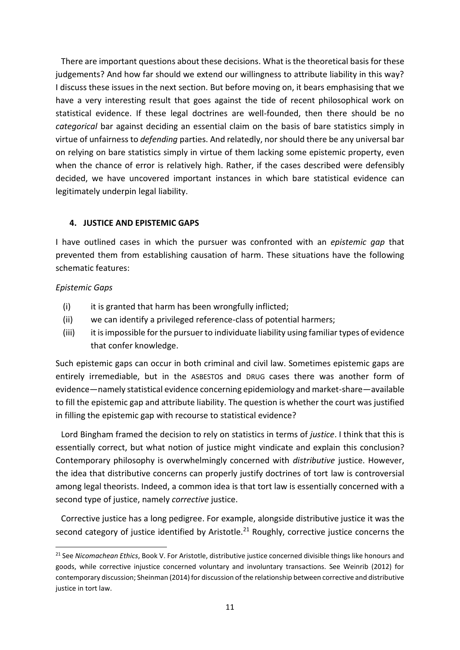There are important questions about these decisions. What is the theoretical basis for these judgements? And how far should we extend our willingness to attribute liability in this way? I discuss these issues in the next section. But before moving on, it bears emphasising that we have a very interesting result that goes against the tide of recent philosophical work on statistical evidence. If these legal doctrines are well-founded, then there should be no *categorical* bar against deciding an essential claim on the basis of bare statistics simply in virtue of unfairness to *defending* parties. And relatedly, nor should there be any universal bar on relying on bare statistics simply in virtue of them lacking some epistemic property, even when the chance of error is relatively high. Rather, if the cases described were defensibly decided, we have uncovered important instances in which bare statistical evidence can legitimately underpin legal liability.

## **4. JUSTICE AND EPISTEMIC GAPS**

I have outlined cases in which the pursuer was confronted with an *epistemic gap* that prevented them from establishing causation of harm. These situations have the following schematic features:

## *Epistemic Gaps*

- (i) it is granted that harm has been wrongfully inflicted;
- (ii) we can identify a privileged reference-class of potential harmers;
- (iii) it is impossible for the pursuer to individuate liability using familiar types of evidence that confer knowledge.

Such epistemic gaps can occur in both criminal and civil law. Sometimes epistemic gaps are entirely irremediable, but in the ASBESTOS and DRUG cases there was another form of evidence—namely statistical evidence concerning epidemiology and market-share—available to fill the epistemic gap and attribute liability. The question is whether the court was justified in filling the epistemic gap with recourse to statistical evidence?

Lord Bingham framed the decision to rely on statistics in terms of *justice*. I think that this is essentially correct, but what notion of justice might vindicate and explain this conclusion? Contemporary philosophy is overwhelmingly concerned with *distributive* justice. However, the idea that distributive concerns can properly justify doctrines of tort law is controversial among legal theorists. Indeed, a common idea is that tort law is essentially concerned with a second type of justice, namely *corrective* justice.

Corrective justice has a long pedigree. For example, alongside distributive justice it was the second category of justice identified by Aristotle.<sup>21</sup> Roughly, corrective justice concerns the

<sup>21</sup> See *Nicomachean Ethics*, Book V. For Aristotle, distributive justice concerned divisible things like honours and goods, while corrective injustice concerned voluntary and involuntary transactions. See Weinrib (2012) for contemporary discussion; Sheinman (2014) for discussion of the relationship between corrective and distributive justice in tort law.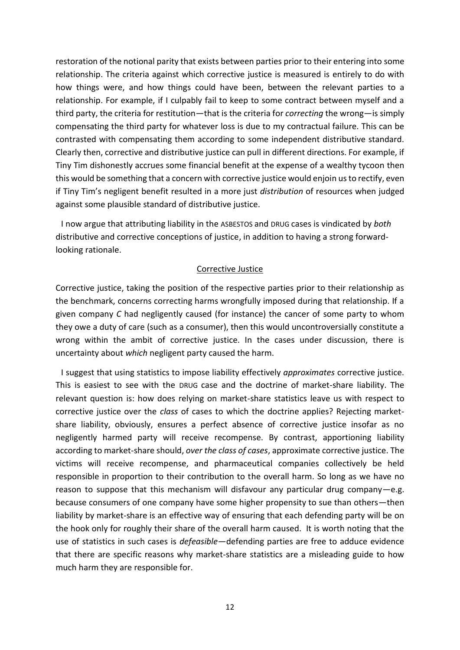restoration of the notional parity that exists between parties prior to their entering into some relationship. The criteria against which corrective justice is measured is entirely to do with how things were, and how things could have been, between the relevant parties to a relationship. For example, if I culpably fail to keep to some contract between myself and a third party, the criteria for restitution—that is the criteria for *correcting* the wrong—is simply compensating the third party for whatever loss is due to my contractual failure. This can be contrasted with compensating them according to some independent distributive standard. Clearly then, corrective and distributive justice can pull in different directions. For example, if Tiny Tim dishonestly accrues some financial benefit at the expense of a wealthy tycoon then this would be something that a concern with corrective justice would enjoin us to rectify, even if Tiny Tim's negligent benefit resulted in a more just *distribution* of resources when judged against some plausible standard of distributive justice.

I now argue that attributing liability in the ASBESTOS and DRUG cases is vindicated by *both* distributive and corrective conceptions of justice, in addition to having a strong forwardlooking rationale.

## Corrective Justice

Corrective justice, taking the position of the respective parties prior to their relationship as the benchmark, concerns correcting harms wrongfully imposed during that relationship. If a given company *C* had negligently caused (for instance) the cancer of some party to whom they owe a duty of care (such as a consumer), then this would uncontroversially constitute a wrong within the ambit of corrective justice. In the cases under discussion, there is uncertainty about *which* negligent party caused the harm.

I suggest that using statistics to impose liability effectively *approximates* corrective justice. This is easiest to see with the DRUG case and the doctrine of market-share liability. The relevant question is: how does relying on market-share statistics leave us with respect to corrective justice over the *class* of cases to which the doctrine applies? Rejecting marketshare liability, obviously, ensures a perfect absence of corrective justice insofar as no negligently harmed party will receive recompense. By contrast, apportioning liability according to market-share should, *over the class of cases*, approximate corrective justice. The victims will receive recompense, and pharmaceutical companies collectively be held responsible in proportion to their contribution to the overall harm. So long as we have no reason to suppose that this mechanism will disfavour any particular drug company—e.g. because consumers of one company have some higher propensity to sue than others—then liability by market-share is an effective way of ensuring that each defending party will be on the hook only for roughly their share of the overall harm caused. It is worth noting that the use of statistics in such cases is *defeasible—*defending parties are free to adduce evidence that there are specific reasons why market-share statistics are a misleading guide to how much harm they are responsible for.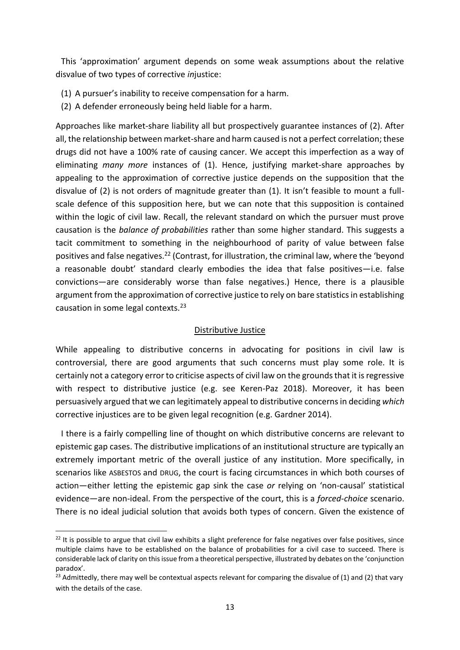This 'approximation' argument depends on some weak assumptions about the relative disvalue of two types of corrective *in*justice:

- (1) A pursuer's inability to receive compensation for a harm.
- (2) A defender erroneously being held liable for a harm.

Approaches like market-share liability all but prospectively guarantee instances of (2). After all, the relationship between market-share and harm caused is not a perfect correlation; these drugs did not have a 100% rate of causing cancer. We accept this imperfection as a way of eliminating *many more* instances of (1). Hence, justifying market-share approaches by appealing to the approximation of corrective justice depends on the supposition that the disvalue of (2) is not orders of magnitude greater than (1). It isn't feasible to mount a fullscale defence of this supposition here, but we can note that this supposition is contained within the logic of civil law. Recall, the relevant standard on which the pursuer must prove causation is the *balance of probabilities* rather than some higher standard. This suggests a tacit commitment to something in the neighbourhood of parity of value between false positives and false negatives.<sup>22</sup> (Contrast, for illustration, the criminal law, where the 'beyond a reasonable doubt' standard clearly embodies the idea that false positives—i.e. false convictions—are considerably worse than false negatives.) Hence, there is a plausible argument from the approximation of corrective justice to rely on bare statistics in establishing causation in some legal contexts.<sup>23</sup>

#### Distributive Justice

While appealing to distributive concerns in advocating for positions in civil law is controversial, there are good arguments that such concerns must play some role. It is certainly not a category error to criticise aspects of civil law on the grounds that it is regressive with respect to distributive justice (e.g. see Keren-Paz 2018). Moreover, it has been persuasively argued that we can legitimately appeal to distributive concerns in deciding *which* corrective injustices are to be given legal recognition (e.g. Gardner 2014).

I there is a fairly compelling line of thought on which distributive concerns are relevant to epistemic gap cases. The distributive implications of an institutional structure are typically an extremely important metric of the overall justice of any institution. More specifically, in scenarios like ASBESTOS and DRUG, the court is facing circumstances in which both courses of action—either letting the epistemic gap sink the case *or* relying on 'non-causal' statistical evidence—are non-ideal. From the perspective of the court, this is a *forced-choice* scenario. There is no ideal judicial solution that avoids both types of concern. Given the existence of

 $22$  It is possible to argue that civil law exhibits a slight preference for false negatives over false positives, since multiple claims have to be established on the balance of probabilities for a civil case to succeed. There is considerable lack of clarity on this issue from a theoretical perspective, illustrated by debates on the 'conjunction paradox'.

<sup>&</sup>lt;sup>23</sup> Admittedly, there may well be contextual aspects relevant for comparing the disvalue of (1) and (2) that vary with the details of the case.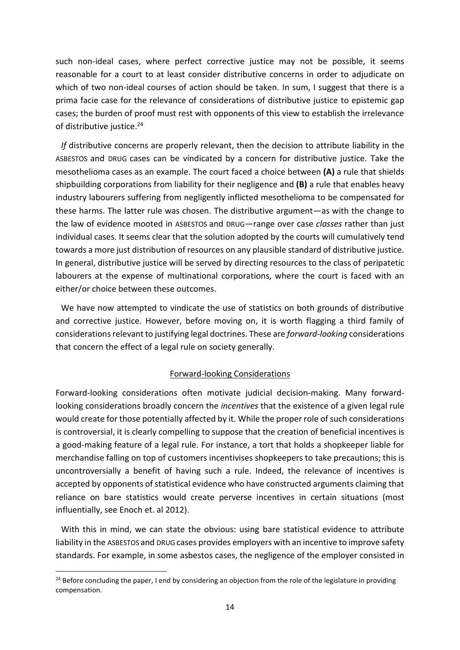such non-ideal cases, where perfect corrective justice may not be possible, it seems reasonable for a court to at least consider distributive concerns in order to adjudicate on which of two non-ideal courses of action should be taken. In sum, I suggest that there is a prima facie case for the relevance of considerations of distributive justice to epistemic gap cases; the burden of proof must rest with opponents of this view to establish the irrelevance of distributive justice.<sup>24</sup>

*If* distributive concerns are properly relevant, then the decision to attribute liability in the ASBESTOS and DRUG cases can be vindicated by a concern for distributive justice. Take the mesothelioma cases as an example. The court faced a choice between **(A)** a rule that shields shipbuilding corporations from liability for their negligence and **(B)** a rule that enables heavy industry labourers suffering from negligently inflicted mesothelioma to be compensated for these harms. The latter rule was chosen. The distributive argument—as with the change to the law of evidence mooted in ASBESTOS and DRUG—range over case *classes* rather than just individual cases. It seems clear that the solution adopted by the courts will cumulatively tend towards a more just distribution of resources on any plausible standard of distributive justice. In general, distributive justice will be served by directing resources to the class of peripatetic labourers at the expense of multinational corporations, where the court is faced with an either/or choice between these outcomes.

We have now attempted to vindicate the use of statistics on both grounds of distributive and corrective justice. However, before moving on, it is worth flagging a third family of considerations relevant to justifying legal doctrines. These are *forward-looking* considerations that concern the effect of a legal rule on society generally.

## Forward-looking Considerations

Forward-looking considerations often motivate judicial decision-making. Many forwardlooking considerations broadly concern the *incentives* that the existence of a given legal rule would create for those potentially affected by it. While the proper role of such considerations is controversial, it is clearly compelling to suppose that the creation of beneficial incentives is a good-making feature of a legal rule. For instance, a tort that holds a shopkeeper liable for merchandise falling on top of customers incentivises shopkeepers to take precautions; this is uncontroversially a benefit of having such a rule. Indeed, the relevance of incentives is accepted by opponents of statistical evidence who have constructed arguments claiming that reliance on bare statistics would create perverse incentives in certain situations (most influentially, see Enoch et. al 2012).

With this in mind, we can state the obvious: using bare statistical evidence to attribute liability in the ASBESTOS and DRUG cases provides employers with an incentive to improve safety standards. For example, in some asbestos cases, the negligence of the employer consisted in

 $24$  Before concluding the paper, I end by considering an objection from the role of the legislature in providing compensation.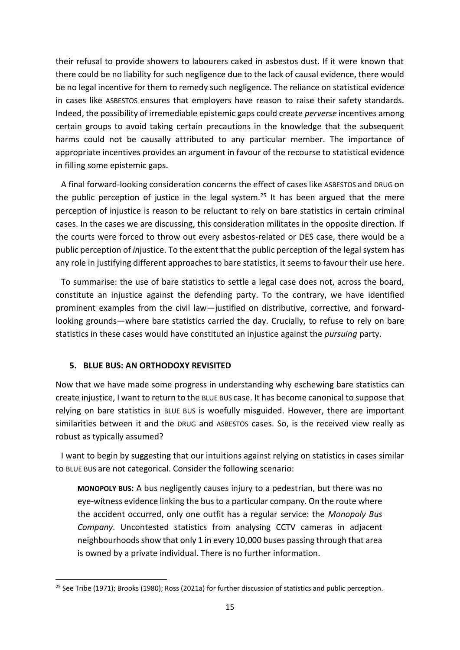their refusal to provide showers to labourers caked in asbestos dust. If it were known that there could be no liability for such negligence due to the lack of causal evidence, there would be no legal incentive for them to remedy such negligence. The reliance on statistical evidence in cases like ASBESTOS ensures that employers have reason to raise their safety standards. Indeed, the possibility of irremediable epistemic gaps could create *perverse* incentives among certain groups to avoid taking certain precautions in the knowledge that the subsequent harms could not be causally attributed to any particular member. The importance of appropriate incentives provides an argument in favour of the recourse to statistical evidence in filling some epistemic gaps.

A final forward-looking consideration concerns the effect of cases like ASBESTOS and DRUG on the public perception of justice in the legal system.<sup>25</sup> It has been argued that the mere perception of injustice is reason to be reluctant to rely on bare statistics in certain criminal cases. In the cases we are discussing, this consideration militates in the opposite direction. If the courts were forced to throw out every asbestos-related or DES case, there would be a public perception of *in*justice. To the extent that the public perception of the legal system has any role in justifying different approaches to bare statistics, it seems to favour their use here.

To summarise: the use of bare statistics to settle a legal case does not, across the board, constitute an injustice against the defending party. To the contrary, we have identified prominent examples from the civil law—justified on distributive, corrective, and forwardlooking grounds—where bare statistics carried the day. Crucially, to refuse to rely on bare statistics in these cases would have constituted an injustice against the *pursuing* party.

## **5. BLUE BUS: AN ORTHODOXY REVISITED**

Now that we have made some progress in understanding why eschewing bare statistics can create injustice, I want to return to the BLUE BUS case. It has become canonical to suppose that relying on bare statistics in BLUE BUS is woefully misguided. However, there are important similarities between it and the DRUG and ASBESTOS cases. So, is the received view really as robust as typically assumed?

I want to begin by suggesting that our intuitions against relying on statistics in cases similar to BLUE BUS are not categorical. Consider the following scenario:

**MONOPOLY BUS:** A bus negligently causes injury to a pedestrian, but there was no eye-witness evidence linking the bus to a particular company. On the route where the accident occurred, only one outfit has a regular service: the *Monopoly Bus Company*. Uncontested statistics from analysing CCTV cameras in adjacent neighbourhoods show that only 1 in every 10,000 buses passing through that area is owned by a private individual. There is no further information.

<sup>&</sup>lt;sup>25</sup> See Tribe (1971); Brooks (1980); Ross (2021a) for further discussion of statistics and public perception.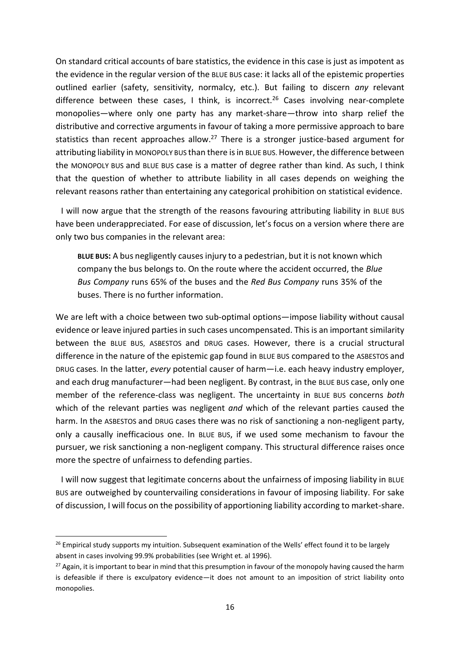On standard critical accounts of bare statistics, the evidence in this case is just as impotent as the evidence in the regular version of the BLUE BUS case: it lacks all of the epistemic properties outlined earlier (safety, sensitivity, normalcy, etc.). But failing to discern *any* relevant difference between these cases, I think, is incorrect.<sup>26</sup> Cases involving near-complete monopolies—where only one party has any market-share—throw into sharp relief the distributive and corrective arguments in favour of taking a more permissive approach to bare statistics than recent approaches allow.<sup>27</sup> There is a stronger justice-based argument for attributing liability in MONOPOLY BUS than there is in BLUE BUS.However, the difference between the MONOPOLY BUS and BLUE BUS case is a matter of degree rather than kind. As such, I think that the question of whether to attribute liability in all cases depends on weighing the relevant reasons rather than entertaining any categorical prohibition on statistical evidence.

I will now argue that the strength of the reasons favouring attributing liability in BLUE BUS have been underappreciated. For ease of discussion, let's focus on a version where there are only two bus companies in the relevant area:

**BLUE BUS:** A bus negligently causes injury to a pedestrian, but it is not known which company the bus belongs to. On the route where the accident occurred, the *Blue Bus Company* runs 65% of the buses and the *Red Bus Company* runs 35% of the buses. There is no further information.

We are left with a choice between two sub-optimal options—impose liability without causal evidence or leave injured parties in such cases uncompensated. This is an important similarity between the BLUE BUS, ASBESTOS and DRUG cases. However, there is a crucial structural difference in the nature of the epistemic gap found in BLUE BUS compared to the ASBESTOS and DRUG cases. In the latter, *every* potential causer of harm—i.e. each heavy industry employer, and each drug manufacturer—had been negligent. By contrast, in the BLUE BUS case, only one member of the reference-class was negligent. The uncertainty in BLUE BUS concerns *both* which of the relevant parties was negligent *and* which of the relevant parties caused the harm. In the ASBESTOS and DRUG cases there was no risk of sanctioning a non-negligent party, only a causally inefficacious one. In BLUE BUS, if we used some mechanism to favour the pursuer, we risk sanctioning a non-negligent company. This structural difference raises once more the spectre of unfairness to defending parties.

I will now suggest that legitimate concerns about the unfairness of imposing liability in BLUE BUS are outweighed by countervailing considerations in favour of imposing liability. For sake of discussion, I will focus on the possibility of apportioning liability according to market-share.

 $26$  Empirical study supports my intuition. Subsequent examination of the Wells' effect found it to be largely absent in cases involving 99.9% probabilities (see Wright et. al 1996).

<sup>&</sup>lt;sup>27</sup> Again, it is important to bear in mind that this presumption in favour of the monopoly having caused the harm is defeasible if there is exculpatory evidence—it does not amount to an imposition of strict liability onto monopolies.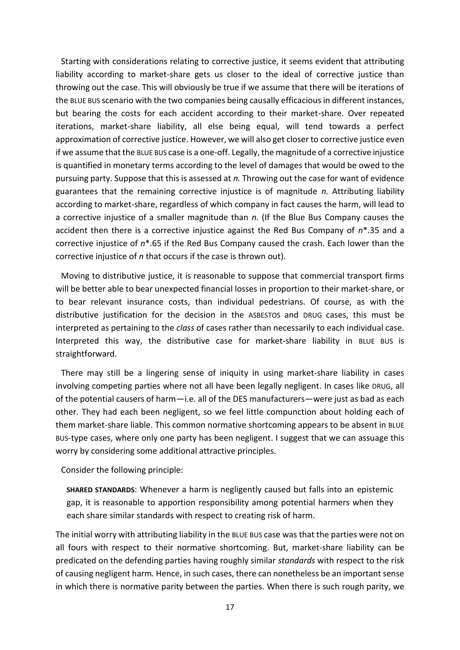Starting with considerations relating to corrective justice, it seems evident that attributing liability according to market-share gets us closer to the ideal of corrective justice than throwing out the case. This will obviously be true if we assume that there will be iterations of the BLUE BUS scenario with the two companies being causally efficacious in different instances, but bearing the costs for each accident according to their market-share. Over repeated iterations, market-share liability, all else being equal, will tend towards a perfect approximation of corrective justice. However, we will also get closer to corrective justice even if we assume that the BLUE BUS case is a one-off. Legally, the magnitude of a corrective injustice is quantified in monetary terms according to the level of damages that would be owed to the pursuing party. Suppose that this is assessed at *n.* Throwing out the case for want of evidence guarantees that the remaining corrective injustice is of magnitude *n.* Attributing liability according to market-share, regardless of which company in fact causes the harm, will lead to a corrective injustice of a smaller magnitude than *n.* (If the Blue Bus Company causes the accident then there is a corrective injustice against the Red Bus Company of *n*\*.35 and a corrective injustice of *n*\*.65 if the Red Bus Company caused the crash. Each lower than the corrective injustice of *n* that occurs if the case is thrown out).

Moving to distributive justice, it is reasonable to suppose that commercial transport firms will be better able to bear unexpected financial losses in proportion to their market-share, or to bear relevant insurance costs, than individual pedestrians. Of course, as with the distributive justification for the decision in the ASBESTOS and DRUG cases, this must be interpreted as pertaining to the *class* of cases rather than necessarily to each individual case. Interpreted this way, the distributive case for market-share liability in BLUE BUS is straightforward.

There may still be a lingering sense of iniquity in using market-share liability in cases involving competing parties where not all have been legally negligent. In cases like DRUG, all of the potential causers of harm—i.e. all of the DES manufacturers—were just as bad as each other. They had each been negligent, so we feel little compunction about holding each of them market-share liable. This common normative shortcoming appears to be absent in BLUE BUS-type cases, where only one party has been negligent. I suggest that we can assuage this worry by considering some additional attractive principles.

Consider the following principle:

**SHARED STANDARDS**: Whenever a harm is negligently caused but falls into an epistemic gap, it is reasonable to apportion responsibility among potential harmers when they each share similar standards with respect to creating risk of harm.

The initial worry with attributing liability in the BLUE BUS case was that the parties were not on all fours with respect to their normative shortcoming. But, market-share liability can be predicated on the defending parties having roughly similar *standards* with respect to the risk of causing negligent harm*.* Hence, in such cases, there can nonetheless be an important sense in which there is normative parity between the parties. When there is such rough parity, we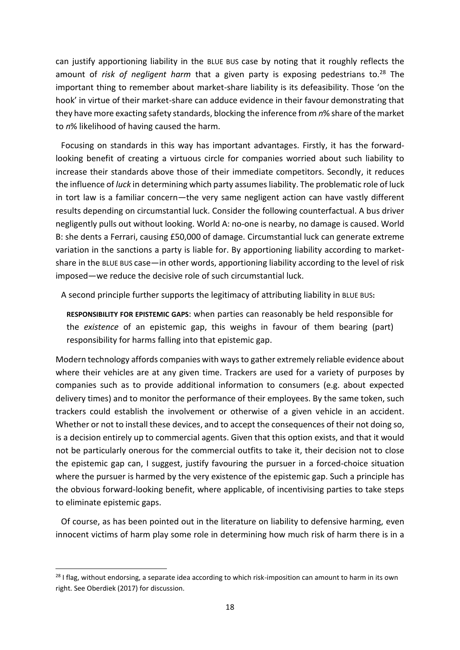can justify apportioning liability in the BLUE BUS case by noting that it roughly reflects the amount of *risk of negligent harm* that a given party is exposing pedestrians to.<sup>28</sup> The important thing to remember about market-share liability is its defeasibility. Those 'on the hook' in virtue of their market-share can adduce evidence in their favour demonstrating that they have more exacting safety standards, blocking the inference from *n*% share of the market to *n*% likelihood of having caused the harm.

Focusing on standards in this way has important advantages. Firstly, it has the forwardlooking benefit of creating a virtuous circle for companies worried about such liability to increase their standards above those of their immediate competitors. Secondly, it reduces the influence of *luck* in determining which party assumes liability. The problematic role of luck in tort law is a familiar concern—the very same negligent action can have vastly different results depending on circumstantial luck. Consider the following counterfactual. A bus driver negligently pulls out without looking. World A: no-one is nearby, no damage is caused. World B: she dents a Ferrari, causing £50,000 of damage. Circumstantial luck can generate extreme variation in the sanctions a party is liable for. By apportioning liability according to marketshare in the BLUE BUS case—in other words, apportioning liability according to the level of risk imposed—we reduce the decisive role of such circumstantial luck.

A second principle further supports the legitimacy of attributing liability in BLUE BUS**:**

**RESPONSIBILITY FOR EPISTEMIC GAPS**: when parties can reasonably be held responsible for the *existence* of an epistemic gap, this weighs in favour of them bearing (part) responsibility for harms falling into that epistemic gap.

Modern technology affords companies with ways to gather extremely reliable evidence about where their vehicles are at any given time. Trackers are used for a variety of purposes by companies such as to provide additional information to consumers (e.g. about expected delivery times) and to monitor the performance of their employees. By the same token, such trackers could establish the involvement or otherwise of a given vehicle in an accident. Whether or not to install these devices, and to accept the consequences of their not doing so, is a decision entirely up to commercial agents. Given that this option exists, and that it would not be particularly onerous for the commercial outfits to take it, their decision not to close the epistemic gap can, I suggest, justify favouring the pursuer in a forced-choice situation where the pursuer is harmed by the very existence of the epistemic gap. Such a principle has the obvious forward-looking benefit, where applicable, of incentivising parties to take steps to eliminate epistemic gaps.

Of course, as has been pointed out in the literature on liability to defensive harming, even innocent victims of harm play some role in determining how much risk of harm there is in a

<sup>&</sup>lt;sup>28</sup> I flag, without endorsing, a separate idea according to which risk-imposition can amount to harm in its own right. See Oberdiek (2017) for discussion.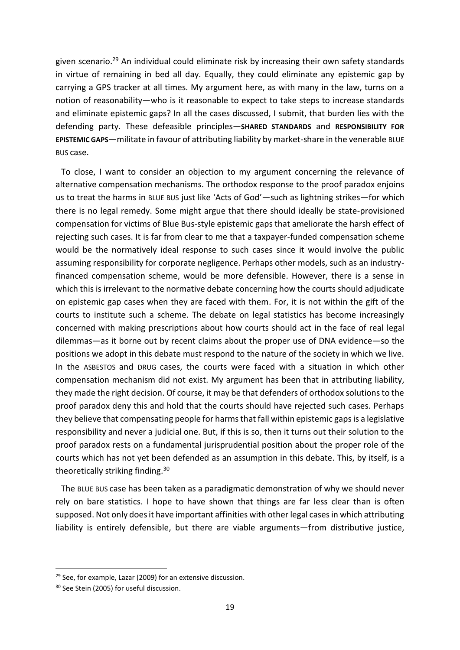given scenario. <sup>29</sup> An individual could eliminate risk by increasing their own safety standards in virtue of remaining in bed all day. Equally, they could eliminate any epistemic gap by carrying a GPS tracker at all times. My argument here, as with many in the law, turns on a notion of reasonability—who is it reasonable to expect to take steps to increase standards and eliminate epistemic gaps? In all the cases discussed, I submit, that burden lies with the defending party. These defeasible principles—**SHARED STANDARDS** and **RESPONSIBILITY FOR EPISTEMIC GAPS**—militate in favour of attributing liability by market-share in the venerable BLUE BUS case.

To close, I want to consider an objection to my argument concerning the relevance of alternative compensation mechanisms. The orthodox response to the proof paradox enjoins us to treat the harms in BLUE BUS just like 'Acts of God'—such as lightning strikes—for which there is no legal remedy. Some might argue that there should ideally be state-provisioned compensation for victims of Blue Bus-style epistemic gaps that ameliorate the harsh effect of rejecting such cases. It is far from clear to me that a taxpayer-funded compensation scheme would be the normatively ideal response to such cases since it would involve the public assuming responsibility for corporate negligence. Perhaps other models, such as an industryfinanced compensation scheme, would be more defensible. However, there is a sense in which this is irrelevant to the normative debate concerning how the courts should adjudicate on epistemic gap cases when they are faced with them. For, it is not within the gift of the courts to institute such a scheme. The debate on legal statistics has become increasingly concerned with making prescriptions about how courts should act in the face of real legal dilemmas—as it borne out by recent claims about the proper use of DNA evidence—so the positions we adopt in this debate must respond to the nature of the society in which we live. In the ASBESTOS and DRUG cases, the courts were faced with a situation in which other compensation mechanism did not exist. My argument has been that in attributing liability, they made the right decision. Of course, it may be that defenders of orthodox solutions to the proof paradox deny this and hold that the courts should have rejected such cases. Perhaps they believe that compensating people for harms that fall within epistemic gaps is a legislative responsibility and never a judicial one. But, if this is so, then it turns out their solution to the proof paradox rests on a fundamental jurisprudential position about the proper role of the courts which has not yet been defended as an assumption in this debate. This, by itself, is a theoretically striking finding.<sup>30</sup>

The BLUE BUS case has been taken as a paradigmatic demonstration of why we should never rely on bare statistics. I hope to have shown that things are far less clear than is often supposed. Not only does it have important affinities with other legal cases in which attributing liability is entirely defensible, but there are viable arguments—from distributive justice,

<sup>&</sup>lt;sup>29</sup> See, for example, Lazar (2009) for an extensive discussion.

<sup>&</sup>lt;sup>30</sup> See Stein (2005) for useful discussion.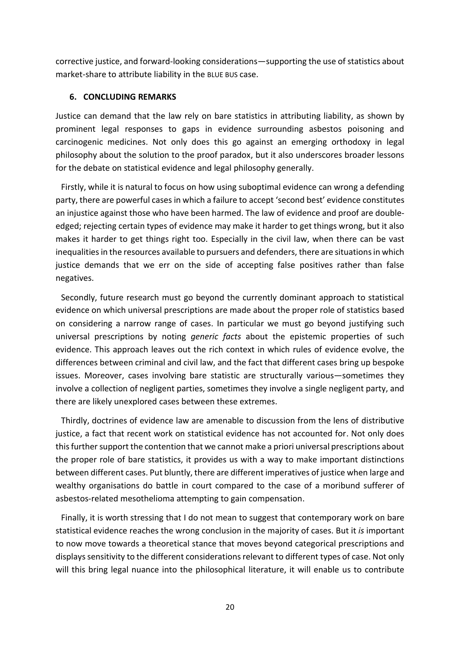corrective justice, and forward-looking considerations—supporting the use of statistics about market-share to attribute liability in the BLUE BUS case.

## **6. CONCLUDING REMARKS**

Justice can demand that the law rely on bare statistics in attributing liability, as shown by prominent legal responses to gaps in evidence surrounding asbestos poisoning and carcinogenic medicines. Not only does this go against an emerging orthodoxy in legal philosophy about the solution to the proof paradox, but it also underscores broader lessons for the debate on statistical evidence and legal philosophy generally.

Firstly, while it is natural to focus on how using suboptimal evidence can wrong a defending party, there are powerful cases in which a failure to accept 'second best' evidence constitutes an injustice against those who have been harmed. The law of evidence and proof are doubleedged; rejecting certain types of evidence may make it harder to get things wrong, but it also makes it harder to get things right too. Especially in the civil law, when there can be vast inequalities in the resources available to pursuers and defenders, there are situations in which justice demands that we err on the side of accepting false positives rather than false negatives.

Secondly, future research must go beyond the currently dominant approach to statistical evidence on which universal prescriptions are made about the proper role of statistics based on considering a narrow range of cases. In particular we must go beyond justifying such universal prescriptions by noting *generic facts* about the epistemic properties of such evidence. This approach leaves out the rich context in which rules of evidence evolve, the differences between criminal and civil law, and the fact that different cases bring up bespoke issues. Moreover, cases involving bare statistic are structurally various—sometimes they involve a collection of negligent parties, sometimes they involve a single negligent party, and there are likely unexplored cases between these extremes.

Thirdly, doctrines of evidence law are amenable to discussion from the lens of distributive justice, a fact that recent work on statistical evidence has not accounted for. Not only does this further support the contention that we cannot make a priori universal prescriptions about the proper role of bare statistics, it provides us with a way to make important distinctions between different cases. Put bluntly, there are different imperatives of justice when large and wealthy organisations do battle in court compared to the case of a moribund sufferer of asbestos-related mesothelioma attempting to gain compensation.

Finally, it is worth stressing that I do not mean to suggest that contemporary work on bare statistical evidence reaches the wrong conclusion in the majority of cases. But it *is* important to now move towards a theoretical stance that moves beyond categorical prescriptions and displays sensitivity to the different considerationsrelevant to different types of case. Not only will this bring legal nuance into the philosophical literature, it will enable us to contribute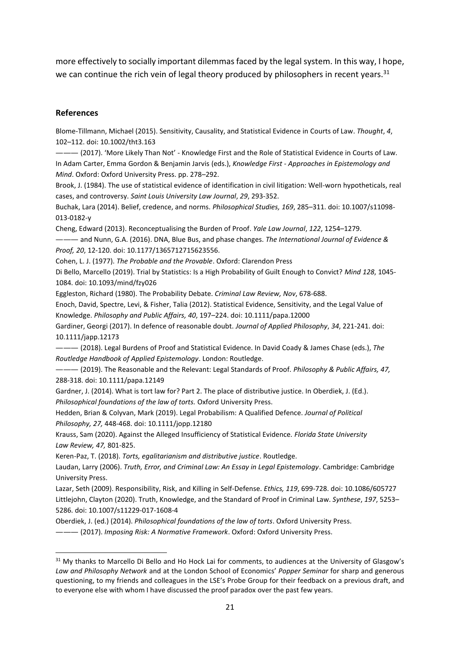more effectively to socially important dilemmas faced by the legal system. In this way, I hope, we can continue the rich vein of legal theory produced by philosophers in recent years.<sup>31</sup>

## **References**

Blome-Tillmann, Michael (2015). Sensitivity, Causality, and Statistical Evidence in Courts of Law. *Thought*, *4*, 102–112. doi: 10.1002/tht3.163

——— (2017). 'More Likely Than Not' - Knowledge First and the Role of Statistical Evidence in Courts of Law. In Adam Carter, Emma Gordon & Benjamin Jarvis (eds.), *Knowledge First - Approaches in Epistemology and Mind*. Oxford: Oxford University Press. pp. 278–292.

Brook, J. (1984). The use of statistical evidence of identification in civil litigation: Well-worn hypotheticals, real cases, and controversy. *Saint Louis University Law Journal*, *29*, 293-352.

Buchak, Lara (2014). Belief, credence, and norms. *Philosophical Studies, 169*, 285–311. doi: 10.1007/s11098- 013-0182-y

Cheng, Edward (2013). Reconceptualising the Burden of Proof. *Yale Law Journal*, *122*, 1254–1279.

——— and Nunn, G.A. (2016). DNA, Blue Bus, and phase changes. *The International Journal of Evidence & Proof, 20*, 12-120. doi: 10.1177/1365712715623556.

Cohen, L. J. (1977). *The Probable and the Provable*. Oxford: Clarendon Press

Di Bello, Marcello (2019). Trial by Statistics: Is a High Probability of Guilt Enough to Convict? *Mind 128*, 1045- 1084. doi: 10.1093/mind/fzy026

Eggleston, Richard (1980). The Probability Debate. *Criminal Law Review, Nov*, 678-688.

Enoch, David, Spectre, Levi, & Fisher, Talia (2012). Statistical Evidence, Sensitivity, and the Legal Value of Knowledge. *Philosophy and Public Affairs, 40*, 197–224. doi: 10.1111/papa.12000

Gardiner, Georgi (2017). In defence of reasonable doubt. *Journal of Applied Philosophy*, *34*, 221-241. doi: 10.1111/japp.12173

——— (2018). Legal Burdens of Proof and Statistical Evidence. In David Coady & James Chase (eds.), *The Routledge Handbook of Applied Epistemology*. London: Routledge.

——— (2019). The Reasonable and the Relevant: Legal Standards of Proof. *Philosophy & Public Affairs, 47,*  288-318. doi: 10.1111/papa.12149

Gardner, J. (2014). What is tort law for? Part 2. The place of distributive justice. In Oberdiek, J. (Ed.). *Philosophical foundations of the law of torts.* Oxford University Press.

Hedden, Brian & Colyvan, Mark (2019). Legal Probabilism: A Qualified Defence. *Journal of Political Philosophy, 27,* 448-468. doi: 10.1111/jopp.12180

Krauss, Sam (2020). Against the Alleged Insufficiency of Statistical Evidence*. Florida State University Law Review, 47,* 801-825.

Keren-Paz, T. (2018). *Torts, egalitarianism and distributive justice*. Routledge.

Laudan, Larry (2006). *Truth, Error, and Criminal Law: An Essay in Legal Epistemology*. Cambridge: Cambridge University Press.

Lazar, Seth (2009). Responsibility, Risk, and Killing in Self‐Defense. *Ethics, 119*, 699-728. doi: 10.1086/605727 Littlejohn, Clayton (2020). Truth, Knowledge, and the Standard of Proof in Criminal Law. *Synthese*, *197*, 5253– 5286. doi: 10.1007/s11229-017-1608-4

Oberdiek, J. (ed.) (2014). *Philosophical foundations of the law of torts*. Oxford University Press.

——— (2017). *Imposing Risk: A Normative Framework*. Oxford: Oxford University Press.

<sup>&</sup>lt;sup>31</sup> My thanks to Marcello Di Bello and Ho Hock Lai for comments, to audiences at the University of Glasgow's *Law and Philosophy Network* and at the London School of Economics' *Popper Seminar* for sharp and generous questioning, to my friends and colleagues in the LSE's Probe Group for their feedback on a previous draft, and to everyone else with whom I have discussed the proof paradox over the past few years.